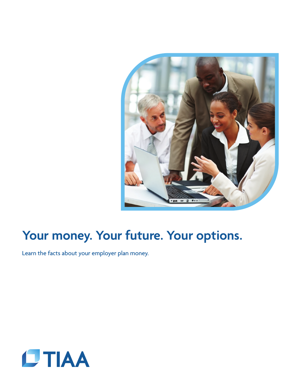

# **Your money. Your future. Your options.**

Learn the facts about your employer plan money.

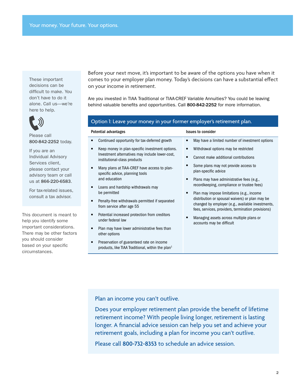These important decisions can be difficult to make. You don't have to do it alone. Call us—we're here to help.



Please call 800-842-2252 today.

If you are an Individual Advisory Services client, please contact your advisory team or call us at 866-220-6583.

For tax-related issues, consult a tax advisor.

This document is meant to help you identify some important considerations. There may be other factors you should consider based on your specific circumstances.

Before your next move, it's important to be aware of the options you have when it comes to your employer plan money. Today's decisions can have a substantial effect on your income in retirement.

Are you invested in TIAA Traditional or TIAA-CREF Variable Annuities? You could be leaving behind valuable benefits and opportunities. Call 800-842-2252 for more information.

### Option 1: Leave your money in your former employer's retirement plan.

| Potential advantages |                                                                                                                                    | <b>Issues to consider</b> |                                                                                                                                                            |
|----------------------|------------------------------------------------------------------------------------------------------------------------------------|---------------------------|------------------------------------------------------------------------------------------------------------------------------------------------------------|
| п                    | Continued opportunity for tax-deferred growth                                                                                      | ٠                         | May have a limited number of investment options                                                                                                            |
| ٠                    | Keep money in plan-specific investment options.<br>Investment alternatives may include lower-cost,<br>institutional-class products | ٠<br>п                    | Withdrawal options may be restricted<br>Cannot make additional contributions                                                                               |
| ٠                    | Many plans at TIAA-CREF have access to plan-<br>specific advice, planning tools                                                    |                           | Some plans may not provide access to<br>plan-specific advice                                                                                               |
|                      | and education                                                                                                                      | ٠                         | Plans may have administrative fees (e.g.,                                                                                                                  |
| ٠                    | Loans and hardship withdrawals may<br>be permitted                                                                                 | п                         | recordkeeping, compliance or trustee fees)<br>Plan may impose limitations (e.g., income                                                                    |
| ٠                    | Penalty-free withdrawals permitted if separated<br>from service after age 55                                                       |                           | distribution or spousal waivers) or plan may be<br>changed by employer (e.g., available investments,<br>fees, services, providers, termination provisions) |
| ٠                    | Potential increased protection from creditors<br>under federal law                                                                 | п                         | Managing assets across multiple plans or<br>accounts may be difficult                                                                                      |
| п                    | Plan may have lower administrative fees than<br>other options                                                                      |                           |                                                                                                                                                            |
| ٠                    | Preservation of guaranteed rate on income<br>products, like TIAA Traditional, within the plan <sup>1</sup>                         |                           |                                                                                                                                                            |

Plan an income you can't outlive.

Does your employer retirement plan provide the benefit of lifetime retirement income? With people living longer, retirement is lasting longer. A financial advice session can help you set and achieve your retirement goals, including a plan for income you can't outlive.

Please call **800-732-8353** to schedule an advice session.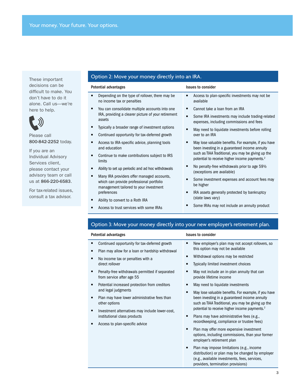These important decisions can be difficult to make. You don't have to do it alone. Call us—we're here to help.



Please call 800-842-2252 today.

If you are an Individual Advisory Services client, please contact your advisory team or call us at 866-220-6583.

For tax-related issues, consult a tax advisor.

## Option 2: Move your money directly into an IRA.

| Potential advantages                                                                                                             | <b>Issues to consider</b>                                                                                       |  |  |
|----------------------------------------------------------------------------------------------------------------------------------|-----------------------------------------------------------------------------------------------------------------|--|--|
| Depending on the type of rollover, there may be<br>no income tax or penalties                                                    | Access to plan-specific investments may not be.<br>٠<br>available                                               |  |  |
| You can consolidate multiple accounts into one                                                                                   | Cannot take a loan from an IRA<br>٠                                                                             |  |  |
| IRA, providing a clearer picture of your retirement<br>assets                                                                    | Some IRA investments may include trading-related<br>٠<br>expenses, including commissions and fees               |  |  |
| ■<br>Typically a broader range of investment options                                                                             | May need to liquidate investments before rolling                                                                |  |  |
| Continued opportunity for tax-deferred growth<br>Ξ                                                                               | over to an IRA                                                                                                  |  |  |
| Access to IRA-specific advice, planning tools<br>Ξ<br>and education                                                              | May lose valuable benefits. For example, if you have<br>been investing in a guaranteed income annuity           |  |  |
| Continue to make contributions subject to IRS<br>Ξ<br>limits                                                                     | such as TIAA Traditional, you may be giving up the<br>potential to receive higher income payments. <sup>2</sup> |  |  |
| Ability to set up periodic and ad hoc withdrawals                                                                                | No penalty-free withdrawals prior to age 59 <sup>1/2</sup><br>(exceptions are available)                        |  |  |
| Many IRA providers offer managed accounts,<br>which can provide professional portfolio<br>management tailored to your investment | Some investment expenses and account fees may<br>п<br>be higher                                                 |  |  |
| preferences                                                                                                                      | IRA assets generally protected by bankruptcy<br>٠                                                               |  |  |
| Ability to convert to a Roth IRA<br>Ξ                                                                                            | (state laws vary)                                                                                               |  |  |
| Access to trust services with some IRAs                                                                                          | Some IRAs may not include an annuity product                                                                    |  |  |

## Option 3: Move your money directly into your new employer's retirement plan.

| Potential advantages |                                                                                                   | <b>Issues to consider</b> |                                                                                                                                                                                      |
|----------------------|---------------------------------------------------------------------------------------------------|---------------------------|--------------------------------------------------------------------------------------------------------------------------------------------------------------------------------------|
| ٠<br>٠               | Continued opportunity for tax-deferred growth<br>Plan may allow for a loan or hardship withdrawal | ■                         | New employer's plan may not accept rollovers, so<br>this option may not be available                                                                                                 |
| ٠                    | No income tax or penalties with a<br>direct rollover                                              | ■                         | Withdrawal options may be restricted<br>Typically limited investment choices                                                                                                         |
|                      | Penalty-free withdrawals permitted if separated<br>from service after age 55                      |                           | May not include an in-plan annuity that can<br>provide lifetime income                                                                                                               |
|                      | Potential increased protection from creditors<br>and legal judgments                              |                           | May need to liquidate investments                                                                                                                                                    |
| п                    | Plan may have lower administrative fees than<br>other options                                     | ■                         | May lose valuable benefits. For example, if you have<br>been investing in a guaranteed income annuity<br>such as TIAA Traditional, you may be giving up the                          |
|                      | Investment alternatives may include lower-cost,<br>institutional class products                   |                           | potential to receive higher income payments. <sup>2</sup><br>Plans may have administrative fees (e.g.,<br>recordkeeping, compliance or trustee fees)                                 |
|                      | Access to plan-specific advice                                                                    | п                         | Plan may offer more expensive investment<br>options, including commissions, than your former<br>employer's retirement plan                                                           |
|                      |                                                                                                   | ٠                         | Plan may impose limitations (e.g., income<br>distribution) or plan may be changed by employer<br>(e.g., available investments, fees, services,<br>providers, termination provisions) |